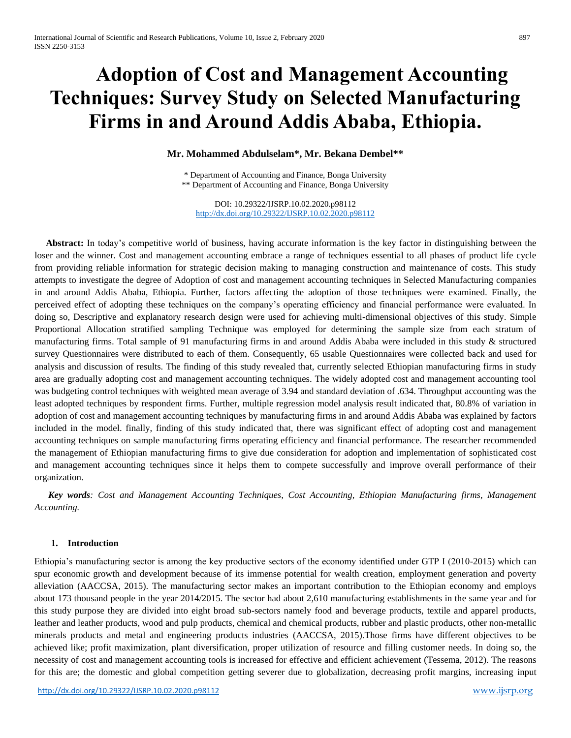# **Adoption of Cost and Management Accounting Techniques: Survey Study on Selected Manufacturing Firms in and Around Addis Ababa, Ethiopia.**

#### **Mr. Mohammed Abdulselam\*, Mr. Bekana Dembel\*\***

\* Department of Accounting and Finance, Bonga University \*\* Department of Accounting and Finance, Bonga University

DOI: 10.29322/IJSRP.10.02.2020.p98112 <http://dx.doi.org/10.29322/IJSRP.10.02.2020.p98112>

 **Abstract:** In today's competitive world of business, having accurate information is the key factor in distinguishing between the loser and the winner. Cost and management accounting embrace a range of techniques essential to all phases of product life cycle from providing reliable information for strategic decision making to managing construction and maintenance of costs. This study attempts to investigate the degree of Adoption of cost and management accounting techniques in Selected Manufacturing companies in and around Addis Ababa, Ethiopia. Further, factors affecting the adoption of those techniques were examined. Finally, the perceived effect of adopting these techniques on the company's operating efficiency and financial performance were evaluated. In doing so, Descriptive and explanatory research design were used for achieving multi-dimensional objectives of this study. Simple Proportional Allocation stratified sampling Technique was employed for determining the sample size from each stratum of manufacturing firms. Total sample of 91 manufacturing firms in and around Addis Ababa were included in this study & structured survey Questionnaires were distributed to each of them. Consequently, 65 usable Questionnaires were collected back and used for analysis and discussion of results. The finding of this study revealed that, currently selected Ethiopian manufacturing firms in study area are gradually adopting cost and management accounting techniques. The widely adopted cost and management accounting tool was budgeting control techniques with weighted mean average of 3.94 and standard deviation of .634. Throughput accounting was the least adopted techniques by respondent firms. Further, multiple regression model analysis result indicated that, 80.8% of variation in adoption of cost and management accounting techniques by manufacturing firms in and around Addis Ababa was explained by factors included in the model. finally, finding of this study indicated that, there was significant effect of adopting cost and management accounting techniques on sample manufacturing firms operating efficiency and financial performance. The researcher recommended the management of Ethiopian manufacturing firms to give due consideration for adoption and implementation of sophisticated cost and management accounting techniques since it helps them to compete successfully and improve overall performance of their organization.

 *Key words: Cost and Management Accounting Techniques, Cost Accounting, Ethiopian Manufacturing firms, Management Accounting.*

#### **1. Introduction**

Ethiopia's manufacturing sector is among the key productive sectors of the economy identified under GTP I (2010-2015) which can spur economic growth and development because of its immense potential for wealth creation, employment generation and poverty alleviation (AACCSA, 2015). The manufacturing sector makes an important contribution to the Ethiopian economy and employs about 173 thousand people in the year 2014/2015. The sector had about 2,610 manufacturing establishments in the same year and for this study purpose they are divided into eight broad sub-sectors namely food and beverage products, textile and apparel products, leather and leather products, wood and pulp products, chemical and chemical products, rubber and plastic products, other non-metallic minerals products and metal and engineering products industries (AACCSA, 2015).Those firms have different objectives to be achieved like; profit maximization, plant diversification, proper utilization of resource and filling customer needs. In doing so, the necessity of cost and management accounting tools is increased for effective and efficient achievement (Tessema, 2012). The reasons for this are; the domestic and global competition getting severer due to globalization, decreasing profit margins, increasing input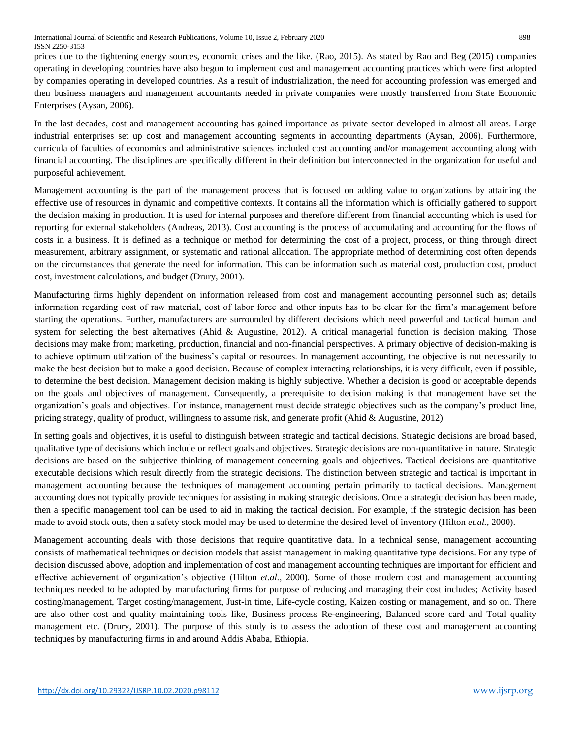prices due to the tightening energy sources, economic crises and the like. (Rao, 2015). As stated by Rao and Beg (2015) companies operating in developing countries have also begun to implement cost and management accounting practices which were first adopted by companies operating in developed countries. As a result of industrialization, the need for accounting profession was emerged and then business managers and management accountants needed in private companies were mostly transferred from State Economic Enterprises (Aysan, 2006).

In the last decades, cost and management accounting has gained importance as private sector developed in almost all areas. Large industrial enterprises set up cost and management accounting segments in accounting departments (Aysan, 2006). Furthermore, curricula of faculties of economics and administrative sciences included cost accounting and/or management accounting along with financial accounting. The disciplines are specifically different in their definition but interconnected in the organization for useful and purposeful achievement.

Management accounting is the part of the management process that is focused on adding value to organizations by attaining the effective use of resources in dynamic and competitive contexts. It contains all the information which is officially gathered to support the decision making in production. It is used for internal purposes and therefore different from financial accounting which is used for reporting for external stakeholders (Andreas, 2013). Cost accounting is the process of accumulating and accounting for the flows of costs in a business. It is defined as a technique or method for determining the cost of a project, process, or thing through direct measurement, arbitrary assignment, or systematic and rational allocation. The appropriate method of determining cost often depends on the circumstances that generate the need for information. This can be information such as material cost, production cost, product cost, investment calculations, and budget (Drury, 2001).

Manufacturing firms highly dependent on information released from cost and management accounting personnel such as; details information regarding cost of raw material, cost of labor force and other inputs has to be clear for the firm's management before starting the operations. Further, manufacturers are surrounded by different decisions which need powerful and tactical human and system for selecting the best alternatives (Ahid & Augustine, 2012). A critical managerial function is decision making. Those decisions may make from; marketing, production, financial and non-financial perspectives. A primary objective of decision-making is to achieve optimum utilization of the business's capital or resources. In management accounting, the objective is not necessarily to make the best decision but to make a good decision. Because of complex interacting relationships, it is very difficult, even if possible, to determine the best decision. Management decision making is highly subjective. Whether a decision is good or acceptable depends on the goals and objectives of management. Consequently, a prerequisite to decision making is that management have set the organization's goals and objectives. For instance, management must decide strategic objectives such as the company's product line, pricing strategy, quality of product, willingness to assume risk, and generate profit (Ahid & Augustine, 2012)

In setting goals and objectives, it is useful to distinguish between strategic and tactical decisions. Strategic decisions are broad based, qualitative type of decisions which include or reflect goals and objectives. Strategic decisions are non-quantitative in nature. Strategic decisions are based on the subjective thinking of management concerning goals and objectives. Tactical decisions are quantitative executable decisions which result directly from the strategic decisions. The distinction between strategic and tactical is important in management accounting because the techniques of management accounting pertain primarily to tactical decisions. Management accounting does not typically provide techniques for assisting in making strategic decisions. Once a strategic decision has been made, then a specific management tool can be used to aid in making the tactical decision. For example, if the strategic decision has been made to avoid stock outs, then a safety stock model may be used to determine the desired level of inventory (Hilton *et.al.,* 2000).

Management accounting deals with those decisions that require quantitative data. In a technical sense, management accounting consists of mathematical techniques or decision models that assist management in making quantitative type decisions. For any type of decision discussed above, adoption and implementation of cost and management accounting techniques are important for efficient and effective achievement of organization's objective (Hilton *et.al.,* 2000). Some of those modern cost and management accounting techniques needed to be adopted by manufacturing firms for purpose of reducing and managing their cost includes; Activity based costing/management, Target costing/management, Just-in time, Life-cycle costing, Kaizen costing or management, and so on. There are also other cost and quality maintaining tools like, Business process Re-engineering, Balanced score card and Total quality management etc. (Drury, 2001). The purpose of this study is to assess the adoption of these cost and management accounting techniques by manufacturing firms in and around Addis Ababa, Ethiopia.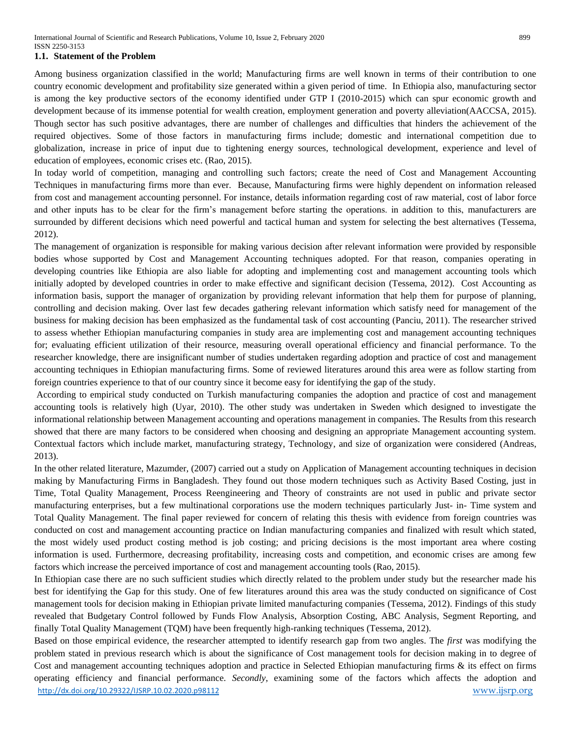#### **1.1. Statement of the Problem**

Among business organization classified in the world; Manufacturing firms are well known in terms of their contribution to one country economic development and profitability size generated within a given period of time. In Ethiopia also, manufacturing sector is among the key productive sectors of the economy identified under GTP I (2010-2015) which can spur economic growth and development because of its immense potential for wealth creation, employment generation and poverty alleviation(AACCSA, 2015). Though sector has such positive advantages, there are number of challenges and difficulties that hinders the achievement of the required objectives. Some of those factors in manufacturing firms include; domestic and international competition due to globalization, increase in price of input due to tightening energy sources, technological development, experience and level of education of employees, economic crises etc. (Rao, 2015).

In today world of competition, managing and controlling such factors; create the need of Cost and Management Accounting Techniques in manufacturing firms more than ever. Because, Manufacturing firms were highly dependent on information released from cost and management accounting personnel. For instance, details information regarding cost of raw material, cost of labor force and other inputs has to be clear for the firm's management before starting the operations. in addition to this, manufacturers are surrounded by different decisions which need powerful and tactical human and system for selecting the best alternatives (Tessema, 2012).

The management of organization is responsible for making various decision after relevant information were provided by responsible bodies whose supported by Cost and Management Accounting techniques adopted. For that reason, companies operating in developing countries like Ethiopia are also liable for adopting and implementing cost and management accounting tools which initially adopted by developed countries in order to make effective and significant decision (Tessema, 2012). Cost Accounting as information basis, support the manager of organization by providing relevant information that help them for purpose of planning, controlling and decision making. Over last few decades gathering relevant information which satisfy need for management of the business for making decision has been emphasized as the fundamental task of cost accounting (Panciu, 2011). The researcher strived to assess whether Ethiopian manufacturing companies in study area are implementing cost and management accounting techniques for; evaluating efficient utilization of their resource, measuring overall operational efficiency and financial performance. To the researcher knowledge, there are insignificant number of studies undertaken regarding adoption and practice of cost and management accounting techniques in Ethiopian manufacturing firms. Some of reviewed literatures around this area were as follow starting from foreign countries experience to that of our country since it become easy for identifying the gap of the study.

According to empirical study conducted on Turkish manufacturing companies the adoption and practice of cost and management accounting tools is relatively high (Uyar, 2010). The other study was undertaken in Sweden which designed to investigate the informational relationship between Management accounting and operations management in companies. The Results from this research showed that there are many factors to be considered when choosing and designing an appropriate Management accounting system. Contextual factors which include market, manufacturing strategy, Technology, and size of organization were considered (Andreas, 2013).

In the other related literature, Mazumder, (2007) carried out a study on Application of Management accounting techniques in decision making by Manufacturing Firms in Bangladesh. They found out those modern techniques such as Activity Based Costing, just in Time, Total Quality Management, Process Reengineering and Theory of constraints are not used in public and private sector manufacturing enterprises, but a few multinational corporations use the modern techniques particularly Just- in- Time system and Total Quality Management. The final paper reviewed for concern of relating this thesis with evidence from foreign countries was conducted on cost and management accounting practice on Indian manufacturing companies and finalized with result which stated, the most widely used product costing method is job costing; and pricing decisions is the most important area where costing information is used. Furthermore, decreasing profitability, increasing costs and competition, and economic crises are among few factors which increase the perceived importance of cost and management accounting tools (Rao, 2015).

In Ethiopian case there are no such sufficient studies which directly related to the problem under study but the researcher made his best for identifying the Gap for this study. One of few literatures around this area was the study conducted on significance of Cost management tools for decision making in Ethiopian private limited manufacturing companies (Tessema, 2012). Findings of this study revealed that Budgetary Control followed by Funds Flow Analysis, Absorption Costing, ABC Analysis, Segment Reporting, and finally Total Quality Management (TQM) have been frequently high-ranking techniques (Tessema, 2012).

<http://dx.doi.org/10.29322/IJSRP.10.02.2020.p98112> [www.ijsrp.org](http://ijsrp.org/) Based on those empirical evidence, the researcher attempted to identify research gap from two angles. The *first* was modifying the problem stated in previous research which is about the significance of Cost management tools for decision making in to degree of Cost and management accounting techniques adoption and practice in Selected Ethiopian manufacturing firms & its effect on firms operating efficiency and financial performance. *Secondly,* examining some of the factors which affects the adoption and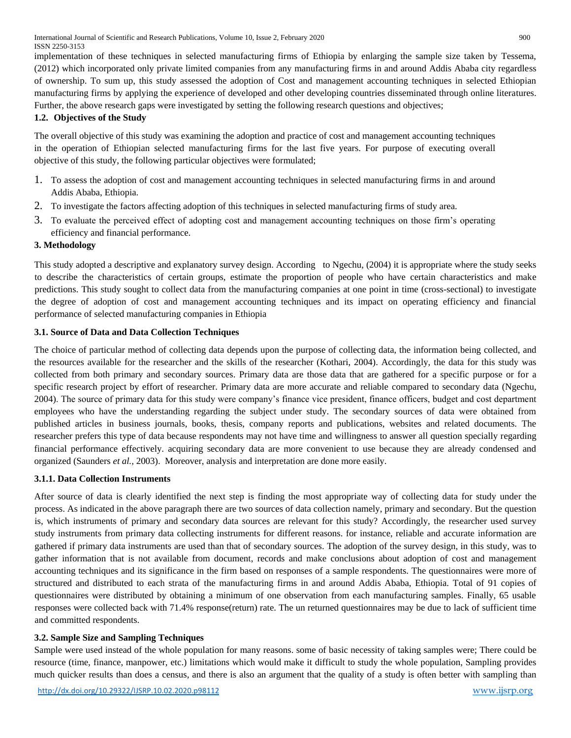implementation of these techniques in selected manufacturing firms of Ethiopia by enlarging the sample size taken by Tessema, (2012) which incorporated only private limited companies from any manufacturing firms in and around Addis Ababa city regardless of ownership. To sum up, this study assessed the adoption of Cost and management accounting techniques in selected Ethiopian manufacturing firms by applying the experience of developed and other developing countries disseminated through online literatures. Further, the above research gaps were investigated by setting the following research questions and objectives;

## **1.2. Objectives of the Study**

The overall objective of this study was examining the adoption and practice of cost and management accounting techniques in the operation of Ethiopian selected manufacturing firms for the last five years. For purpose of executing overall objective of this study, the following particular objectives were formulated;

- 1. To assess the adoption of cost and management accounting techniques in selected manufacturing firms in and around Addis Ababa, Ethiopia.
- 2. To investigate the factors affecting adoption of this techniques in selected manufacturing firms of study area.
- 3. To evaluate the perceived effect of adopting cost and management accounting techniques on those firm's operating efficiency and financial performance.

## **3. Methodology**

This study adopted a descriptive and explanatory survey design. According to Ngechu, (2004) it is appropriate where the study seeks to describe the characteristics of certain groups, estimate the proportion of people who have certain characteristics and make predictions. This study sought to collect data from the manufacturing companies at one point in time (cross-sectional) to investigate the degree of adoption of cost and management accounting techniques and its impact on operating efficiency and financial performance of selected manufacturing companies in Ethiopia

#### **3.1. Source of Data and Data Collection Techniques**

The choice of particular method of collecting data depends upon the purpose of collecting data, the information being collected, and the resources available for the researcher and the skills of the researcher (Kothari, 2004). Accordingly, the data for this study was collected from both primary and secondary sources. Primary data are those data that are gathered for a specific purpose or for a specific research project by effort of researcher. Primary data are more accurate and reliable compared to secondary data (Ngechu, 2004). The source of primary data for this study were company's finance vice president, finance officers, budget and cost department employees who have the understanding regarding the subject under study. The secondary sources of data were obtained from published articles in business journals, books, thesis, company reports and publications, websites and related documents. The researcher prefers this type of data because respondents may not have time and willingness to answer all question specially regarding financial performance effectively. acquiring secondary data are more convenient to use because they are already condensed and organized (Saunders *et al.,* 2003). Moreover, analysis and interpretation are done more easily.

#### **3.1.1. Data Collection Instruments**

After source of data is clearly identified the next step is finding the most appropriate way of collecting data for study under the process. As indicated in the above paragraph there are two sources of data collection namely, primary and secondary. But the question is, which instruments of primary and secondary data sources are relevant for this study? Accordingly, the researcher used survey study instruments from primary data collecting instruments for different reasons. for instance, reliable and accurate information are gathered if primary data instruments are used than that of secondary sources. The adoption of the survey design, in this study, was to gather information that is not available from document, records and make conclusions about adoption of cost and management accounting techniques and its significance in the firm based on responses of a sample respondents. The questionnaires were more of structured and distributed to each strata of the manufacturing firms in and around Addis Ababa, Ethiopia. Total of 91 copies of questionnaires were distributed by obtaining a minimum of one observation from each manufacturing samples. Finally, 65 usable responses were collected back with 71.4% response(return) rate. The un returned questionnaires may be due to lack of sufficient time and committed respondents.

#### **3.2. Sample Size and Sampling Techniques**

Sample were used instead of the whole population for many reasons. some of basic necessity of taking samples were; There could be resource (time, finance, manpower, etc.) limitations which would make it difficult to study the whole population, Sampling provides much quicker results than does a census, and there is also an argument that the quality of a study is often better with sampling than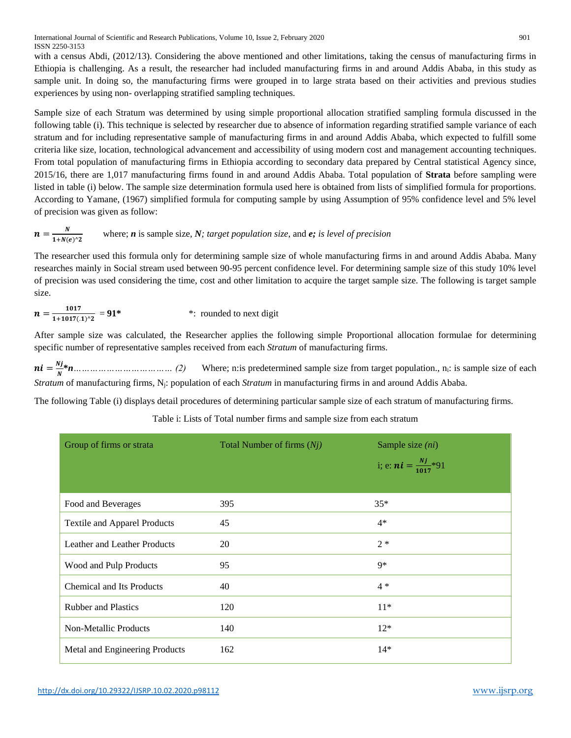with a census Abdi, (2012/13). Considering the above mentioned and other limitations, taking the census of manufacturing firms in Ethiopia is challenging. As a result, the researcher had included manufacturing firms in and around Addis Ababa, in this study as sample unit. In doing so, the manufacturing firms were grouped in to large strata based on their activities and previous studies experiences by using non- overlapping stratified sampling techniques.

Sample size of each Stratum was determined by using simple proportional allocation stratified sampling formula discussed in the following table (i). This technique is selected by researcher due to absence of information regarding stratified sample variance of each stratum and for including representative sample of manufacturing firms in and around Addis Ababa, which expected to fulfill some criteria like size, location, technological advancement and accessibility of using modern cost and management accounting techniques. From total population of manufacturing firms in Ethiopia according to secondary data prepared by Central statistical Agency since, 2015/16, there are 1,017 manufacturing firms found in and around Addis Ababa. Total population of **Strata** before sampling were listed in table (i) below. The sample size determination formula used here is obtained from lists of simplified formula for proportions. According to Yamane, (1967) simplified formula for computing sample by using Assumption of 95% confidence level and 5% level of precision was given as follow:

$$
n = \frac{N}{1 + N(e)^2}
$$
 where; *n* is sample size, *N*; target population size, and *e*; is level of precision

The researcher used this formula only for determining sample size of whole manufacturing firms in and around Addis Ababa. Many researches mainly in Social stream used between 90-95 percent confidence level. For determining sample size of this study 10% level of precision was used considering the time, cost and other limitation to acquire the target sample size. The following is target sample size.

$$
n = \frac{1017}{1 + 1017(0.1)^2} = 91^*
$$
 \*: rounded to next digit

After sample size was calculated, the Researcher applies the following simple Proportional allocation formulae for determining specific number of representative samples received from each *Stratum* of manufacturing firms.

 $ni=\frac{Nj}{N}$  $\frac{\mathbf{v}_1 \cdot \mathbf{v}_2}{N}$  *n* ………………………………………… (2) Where; n:is predetermined sample size from target population., n<sub>i</sub>: is sample size of each *Stratum* of manufacturing firms*,* Nj: population of each *Stratum* in manufacturing firms in and around Addis Ababa.

The following Table (i) displays detail procedures of determining particular sample size of each stratum of manufacturing firms.

| Group of firms or strata            | Total Number of firms $(Nj)$ | Sample size $(ni)$               |
|-------------------------------------|------------------------------|----------------------------------|
|                                     |                              | i; e: $ni = \frac{Nj}{1017}$ *91 |
|                                     |                              |                                  |
| Food and Beverages                  | 395                          | $35*$                            |
| <b>Textile and Apparel Products</b> | 45                           | $4*$                             |
| Leather and Leather Products        | 20                           | $2 *$                            |
| Wood and Pulp Products              | 95                           | 9*                               |
| <b>Chemical and Its Products</b>    | 40                           | $4 *$                            |
| <b>Rubber and Plastics</b>          | 120                          | $11*$                            |
| Non-Metallic Products               | 140                          | $12*$                            |
| Metal and Engineering Products      | 162                          | $14*$                            |

Table i: Lists of Total number firms and sample size from each stratum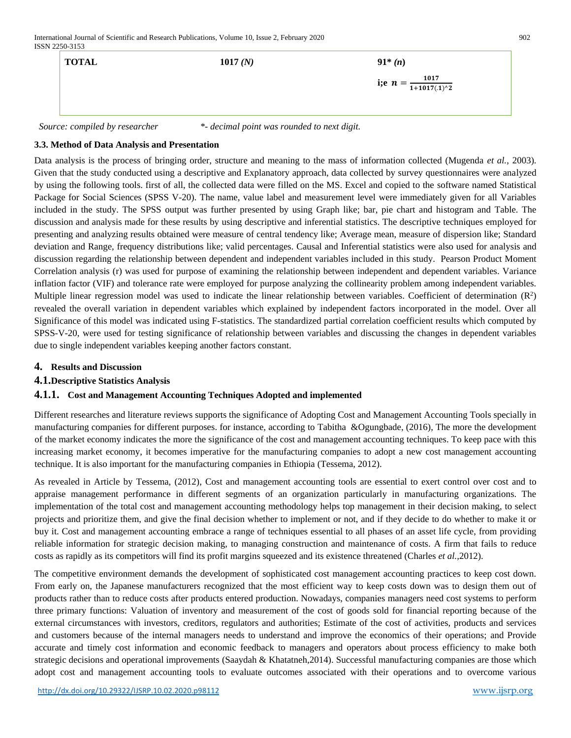International Journal of Scientific and Research Publications, Volume 10, Issue 2, February 2020 902 ISSN 2250-3153

| <b>TOTAL</b> | 1017(N) | $91*(n)$                             |
|--------------|---------|--------------------------------------|
|              |         | i;e $n = \frac{1017}{1+1017(0.1)^2}$ |
|              |         |                                      |

 *Source: compiled by researcher \*- decimal point was rounded to next digit.*

## **3.3. Method of Data Analysis and Presentation**

Data analysis is the process of bringing order, structure and meaning to the mass of information collected (Mugenda *et al.,* 2003). Given that the study conducted using a descriptive and Explanatory approach, data collected by survey questionnaires were analyzed by using the following tools. first of all, the collected data were filled on the MS. Excel and copied to the software named Statistical Package for Social Sciences (SPSS V-20). The name, value label and measurement level were immediately given for all Variables included in the study. The SPSS output was further presented by using Graph like; bar, pie chart and histogram and Table. The discussion and analysis made for these results by using descriptive and inferential statistics. The descriptive techniques employed for presenting and analyzing results obtained were measure of central tendency like; Average mean, measure of dispersion like; Standard deviation and Range, frequency distributions like; valid percentages. Causal and Inferential statistics were also used for analysis and discussion regarding the relationship between dependent and independent variables included in this study. Pearson Product Moment Correlation analysis (r) was used for purpose of examining the relationship between independent and dependent variables. Variance inflation factor (VIF) and tolerance rate were employed for purpose analyzing the collinearity problem among independent variables. Multiple linear regression model was used to indicate the linear relationship between variables. Coefficient of determination  $(R^2)$ revealed the overall variation in dependent variables which explained by independent factors incorporated in the model. Over all Significance of this model was indicated using F-statistics. The standardized partial correlation coefficient results which computed by SPSS-V-20, were used for testing significance of relationship between variables and discussing the changes in dependent variables due to single independent variables keeping another factors constant.

## **4. Results and Discussion**

#### **4.1.Descriptive Statistics Analysis**

#### **4.1.1. Cost and Management Accounting Techniques Adopted and implemented**

Different researches and literature reviews supports the significance of Adopting Cost and Management Accounting Tools specially in manufacturing companies for different purposes. for instance, according to Tabitha &Ogungbade, (2016), The more the development of the market economy indicates the more the significance of the cost and management accounting techniques. To keep pace with this increasing market economy, it becomes imperative for the manufacturing companies to adopt a new cost management accounting technique. It is also important for the manufacturing companies in Ethiopia (Tessema, 2012).

As revealed in Article by Tessema, (2012), Cost and management accounting tools are essential to exert control over cost and to appraise management performance in different segments of an organization particularly in manufacturing organizations. The implementation of the total cost and management accounting methodology helps top management in their decision making, to select projects and prioritize them, and give the final decision whether to implement or not, and if they decide to do whether to make it or buy it. Cost and management accounting embrace a range of techniques essential to all phases of an asset life cycle, from providing reliable information for strategic decision making, to managing construction and maintenance of costs. A firm that fails to reduce costs as rapidly as its competitors will find its profit margins squeezed and its existence threatened (Charles *et al.,*2012).

The competitive environment demands the development of sophisticated cost management accounting practices to keep cost down. From early on, the Japanese manufacturers recognized that the most efficient way to keep costs down was to design them out of products rather than to reduce costs after products entered production. Nowadays, companies managers need cost systems to perform three primary functions: Valuation of inventory and measurement of the cost of goods sold for financial reporting because of the external circumstances with investors, creditors, regulators and authorities; Estimate of the cost of activities, products and services and customers because of the internal managers needs to understand and improve the economics of their operations; and Provide accurate and timely cost information and economic feedback to managers and operators about process efficiency to make both strategic decisions and operational improvements (Saaydah & Khatatneh,2014). Successful manufacturing companies are those which adopt cost and management accounting tools to evaluate outcomes associated with their operations and to overcome various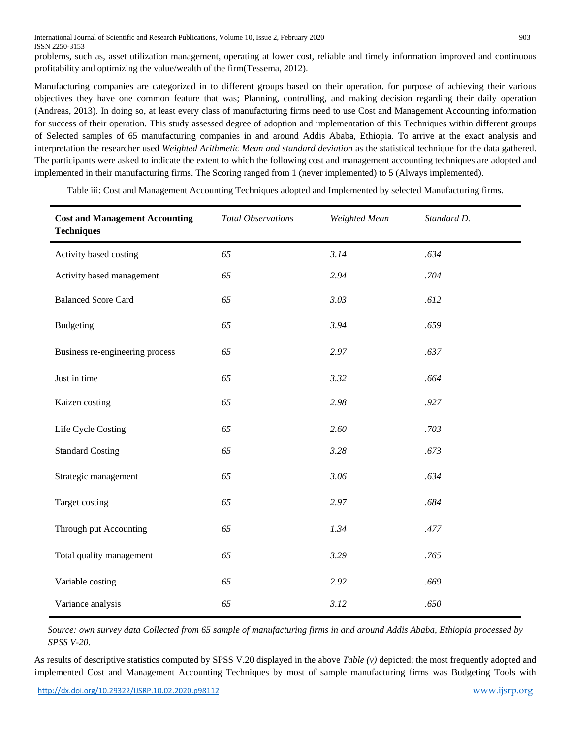International Journal of Scientific and Research Publications, Volume 10, Issue 2, February 2020 903 ISSN 2250-3153

problems, such as, asset utilization management, operating at lower cost, reliable and timely information improved and continuous profitability and optimizing the value/wealth of the firm(Tessema, 2012).

Manufacturing companies are categorized in to different groups based on their operation. for purpose of achieving their various objectives they have one common feature that was; Planning, controlling, and making decision regarding their daily operation (Andreas, 2013). In doing so, at least every class of manufacturing firms need to use Cost and Management Accounting information for success of their operation. This study assessed degree of adoption and implementation of this Techniques within different groups of Selected samples of 65 manufacturing companies in and around Addis Ababa, Ethiopia. To arrive at the exact analysis and interpretation the researcher used *Weighted Arithmetic Mean and standard deviation* as the statistical technique for the data gathered. The participants were asked to indicate the extent to which the following cost and management accounting techniques are adopted and implemented in their manufacturing firms. The Scoring ranged from 1 (never implemented) to 5 (Always implemented).

| <b>Cost and Management Accounting</b><br><b>Techniques</b> | <b>Total Observations</b> | Weighted Mean | Standard D. |
|------------------------------------------------------------|---------------------------|---------------|-------------|
| Activity based costing                                     | 65                        | 3.14          | .634        |
| Activity based management                                  | 65                        | 2.94          | .704        |
| <b>Balanced Score Card</b>                                 | 65                        | 3.03          | .612        |
| <b>Budgeting</b>                                           | 65                        | 3.94          | .659        |
| Business re-engineering process                            | 65                        | 2.97          | .637        |
| Just in time                                               | 65                        | 3.32          | .664        |
| Kaizen costing                                             | 65                        | 2.98          | .927        |
| Life Cycle Costing                                         | 65                        | 2.60          | .703        |
| <b>Standard Costing</b>                                    | 65                        | 3.28          | .673        |
| Strategic management                                       | 65                        | 3.06          | .634        |
| Target costing                                             | 65                        | 2.97          | .684        |
| Through put Accounting                                     | 65                        | 1.34          | .477        |
| Total quality management                                   | 65                        | 3.29          | .765        |
| Variable costing                                           | 65                        | 2.92          | .669        |
| Variance analysis                                          | 65                        | 3.12          | .650        |

Table iii: Cost and Management Accounting Techniques adopted and Implemented by selected Manufacturing firms*.*

*Source: own survey data Collected from 65 sample of manufacturing firms in and around Addis Ababa, Ethiopia processed by SPSS V-20.* 

As results of descriptive statistics computed by SPSS V.20 displayed in the above *Table (v)* depicted; the most frequently adopted and implemented Cost and Management Accounting Techniques by most of sample manufacturing firms was Budgeting Tools with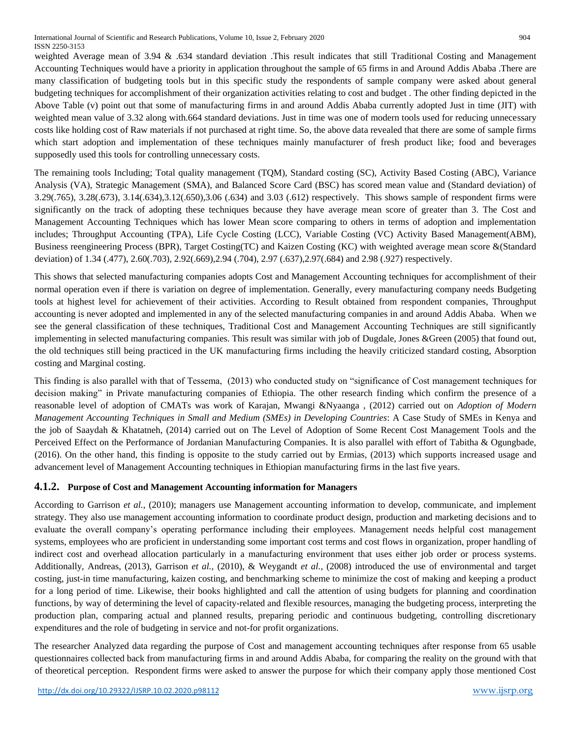weighted Average mean of 3.94 & .634 standard deviation .This result indicates that still Traditional Costing and Management Accounting Techniques would have a priority in application throughout the sample of 65 firms in and Around Addis Ababa .There are many classification of budgeting tools but in this specific study the respondents of sample company were asked about general budgeting techniques for accomplishment of their organization activities relating to cost and budget . The other finding depicted in the Above Table (v) point out that some of manufacturing firms in and around Addis Ababa currently adopted Just in time (JIT) with weighted mean value of 3.32 along with.664 standard deviations. Just in time was one of modern tools used for reducing unnecessary costs like holding cost of Raw materials if not purchased at right time. So, the above data revealed that there are some of sample firms which start adoption and implementation of these techniques mainly manufacturer of fresh product like; food and beverages supposedly used this tools for controlling unnecessary costs.

The remaining tools Including; Total quality management (TQM), Standard costing (SC), Activity Based Costing (ABC), Variance Analysis (VA), Strategic Management (SMA), and Balanced Score Card (BSC) has scored mean value and (Standard deviation) of 3.29(.765), 3.28(.673), 3.14(.634),3.12(.650),3.06 (.634) and 3.03 (.612) respectively. This shows sample of respondent firms were significantly on the track of adopting these techniques because they have average mean score of greater than 3. The Cost and Management Accounting Techniques which has lower Mean score comparing to others in terms of adoption and implementation includes; Throughput Accounting (TPA), Life Cycle Costing (LCC), Variable Costing (VC) Activity Based Management(ABM), Business reengineering Process (BPR), Target Costing(TC) and Kaizen Costing (KC) with weighted average mean score &(Standard deviation) of 1.34 (.477), 2.60(.703), 2.92(.669),2.94 (.704), 2.97 (.637),2.97(.684) and 2.98 (.927) respectively.

This shows that selected manufacturing companies adopts Cost and Management Accounting techniques for accomplishment of their normal operation even if there is variation on degree of implementation. Generally, every manufacturing company needs Budgeting tools at highest level for achievement of their activities. According to Result obtained from respondent companies, Throughput accounting is never adopted and implemented in any of the selected manufacturing companies in and around Addis Ababa. When we see the general classification of these techniques, Traditional Cost and Management Accounting Techniques are still significantly implementing in selected manufacturing companies. This result was similar with job of Dugdale, Jones &Green (2005) that found out, the old techniques still being practiced in the UK manufacturing firms including the heavily criticized standard costing, Absorption costing and Marginal costing.

This finding is also parallel with that of Tessema, (2013) who conducted study on "significance of Cost management techniques for decision making" in Private manufacturing companies of Ethiopia. The other research finding which confirm the presence of a reasonable level of adoption of CMATs was work of Karajan, Mwangi &Nyaanga , (2012) carried out on *Adoption of Modern Management Accounting Techniques in Small and Medium (SMEs) in Developing Countries*: A Case Study of SMEs in Kenya and the job of Saaydah & Khatatneh, (2014) carried out on The Level of Adoption of Some Recent Cost Management Tools and the Perceived Effect on the Performance of Jordanian Manufacturing Companies. It is also parallel with effort of Tabitha & Ogungbade, (2016). On the other hand, this finding is opposite to the study carried out by Ermias, (2013) which supports increased usage and advancement level of Management Accounting techniques in Ethiopian manufacturing firms in the last five years.

# **4.1.2. Purpose of Cost and Management Accounting information for Managers**

According to Garrison *et al.,* (2010); managers use Management accounting information to develop, communicate, and implement strategy. They also use management accounting information to coordinate product design, production and marketing decisions and to evaluate the overall company's operating performance including their employees. Management needs helpful cost management systems, employees who are proficient in understanding some important cost terms and cost flows in organization, proper handling of indirect cost and overhead allocation particularly in a manufacturing environment that uses either job order or process systems. Additionally, Andreas, (2013), Garrison *et al.,* (2010), & Weygandt *et al.,* (2008) introduced the use of environmental and target costing, just-in time manufacturing, kaizen costing, and benchmarking scheme to minimize the cost of making and keeping a product for a long period of time. Likewise, their books highlighted and call the attention of using budgets for planning and coordination functions, by way of determining the level of capacity-related and flexible resources, managing the budgeting process, interpreting the production plan, comparing actual and planned results, preparing periodic and continuous budgeting, controlling discretionary expenditures and the role of budgeting in service and not-for profit organizations.

The researcher Analyzed data regarding the purpose of Cost and management accounting techniques after response from 65 usable questionnaires collected back from manufacturing firms in and around Addis Ababa, for comparing the reality on the ground with that of theoretical perception. Respondent firms were asked to answer the purpose for which their company apply those mentioned Cost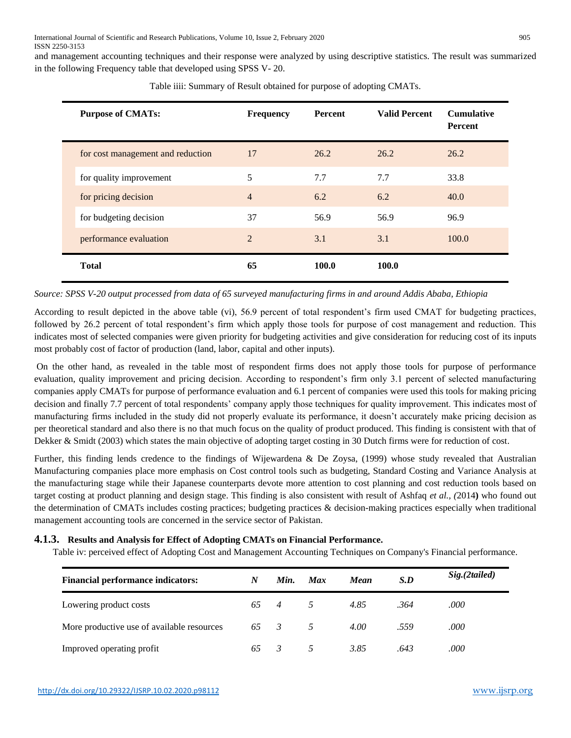and management accounting techniques and their response were analyzed by using descriptive statistics. The result was summarized in the following Frequency table that developed using SPSS V- 20.

| <b>Purpose of CMATs:</b>          | <b>Frequency</b> | Percent | <b>Valid Percent</b> | <b>Cumulative</b><br>Percent |
|-----------------------------------|------------------|---------|----------------------|------------------------------|
| for cost management and reduction | 17               | 26.2    | 26.2                 | 26.2                         |
| for quality improvement           | 5                | 7.7     | 7.7                  | 33.8                         |
| for pricing decision              | $\overline{4}$   | 6.2     | 6.2                  | 40.0                         |
| for budgeting decision            | 37               | 56.9    | 56.9                 | 96.9                         |
| performance evaluation            | $\mathfrak{D}$   | 3.1     | 3.1                  | 100.0                        |
| <b>Total</b>                      | 65               | 100.0   | 100.0                |                              |

Table iiii: Summary of Result obtained for purpose of adopting CMATs.

#### *Source: SPSS V-20 output processed from data of 65 surveyed manufacturing firms in and around Addis Ababa, Ethiopia*

According to result depicted in the above table (vi), 56.9 percent of total respondent's firm used CMAT for budgeting practices, followed by 26.2 percent of total respondent's firm which apply those tools for purpose of cost management and reduction. This indicates most of selected companies were given priority for budgeting activities and give consideration for reducing cost of its inputs most probably cost of factor of production (land, labor, capital and other inputs).

On the other hand, as revealed in the table most of respondent firms does not apply those tools for purpose of performance evaluation, quality improvement and pricing decision. According to respondent's firm only 3.1 percent of selected manufacturing companies apply CMATs for purpose of performance evaluation and 6.1 percent of companies were used this tools for making pricing decision and finally 7.7 percent of total respondents' company apply those techniques for quality improvement. This indicates most of manufacturing firms included in the study did not properly evaluate its performance, it doesn't accurately make pricing decision as per theoretical standard and also there is no that much focus on the quality of product produced. This finding is consistent with that of Dekker & Smidt (2003) which states the main objective of adopting target costing in 30 Dutch firms were for reduction of cost.

Further, this finding lends credence to the findings of Wijewardena & De Zoysa, (1999) whose study revealed that Australian Manufacturing companies place more emphasis on Cost control tools such as budgeting, Standard Costing and Variance Analysis at the manufacturing stage while their Japanese counterparts devote more attention to cost planning and cost reduction tools based on target costing at product planning and design stage. This finding is also consistent with result of Ashfaq *et al., (*2014**)** who found out the determination of CMATs includes costing practices; budgeting practices & decision-making practices especially when traditional management accounting tools are concerned in the service sector of Pakistan.

#### **4.1.3. Results and Analysis for Effect of Adopting CMATs on Financial Performance.**

Table iv: perceived effect of Adopting Cost and Management Accounting Techniques on Company's Financial performance.

| <b>Financial performance indicators:</b>   | N  | Min.           | <b>Max</b>     | Mean | S.D  | Sig.(2tailed) |
|--------------------------------------------|----|----------------|----------------|------|------|---------------|
| Lowering product costs                     | 65 | $\overline{4}$ | $\overline{5}$ | 4.85 | .364 | .000          |
| More productive use of available resources | 65 | $\overline{3}$ | $\overline{5}$ | 4.00 | .559 | .000          |
| Improved operating profit                  | 65 | - 3            | 5 <sup>5</sup> | 3.85 | .643 | .000          |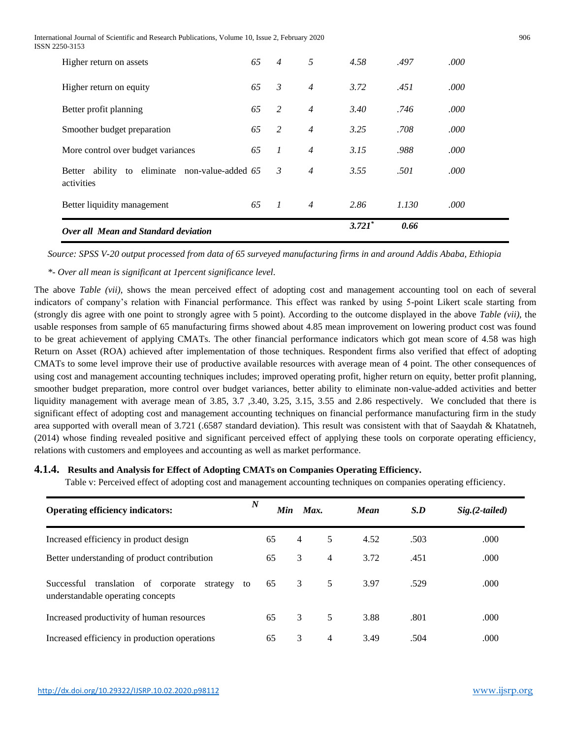International Journal of Scientific and Research Publications, Volume 10, Issue 2, February 2020 906 ISSN 2250-3153

| Higher return on assets                                         | 65 | $\overline{4}$   | 5              | 4.58     | .497  | .000 |
|-----------------------------------------------------------------|----|------------------|----------------|----------|-------|------|
| Higher return on equity                                         | 65 | $\mathcal{E}$    | $\overline{4}$ | 3.72     | .451  | .000 |
| Better profit planning                                          | 65 | 2                | $\overline{4}$ | 3.40     | .746  | .000 |
| Smoother budget preparation                                     | 65 | 2                | $\overline{4}$ | 3.25     | .708  | .000 |
| More control over budget variances                              | 65 | $\boldsymbol{l}$ | $\overline{4}$ | 3.15     | .988  | .000 |
| ability to eliminate non-value-added 65<br>Better<br>activities |    | 3                | $\overline{4}$ | 3.55     | .501  | .000 |
| Better liquidity management                                     | 65 | $\overline{1}$   | $\overline{4}$ | 2.86     | 1.130 | .000 |
| Over all Mean and Standard deviation                            |    |                  |                | $3.721*$ | 0.66  |      |

*Source: SPSS V-20 output processed from data of 65 surveyed manufacturing firms in and around Addis Ababa, Ethiopia*

*\*- Over all mean is significant at 1percent significance level*.

The above *Table (vii)*, shows the mean perceived effect of adopting cost and management accounting tool on each of several indicators of company's relation with Financial performance. This effect was ranked by using 5-point Likert scale starting from (strongly dis agree with one point to strongly agree with 5 point). According to the outcome displayed in the above *Table (vii)*, the usable responses from sample of 65 manufacturing firms showed about 4.85 mean improvement on lowering product cost was found to be great achievement of applying CMATs. The other financial performance indicators which got mean score of 4.58 was high Return on Asset (ROA) achieved after implementation of those techniques. Respondent firms also verified that effect of adopting CMATs to some level improve their use of productive available resources with average mean of 4 point. The other consequences of using cost and management accounting techniques includes; improved operating profit, higher return on equity, better profit planning, smoother budget preparation, more control over budget variances, better ability to eliminate non-value-added activities and better liquidity management with average mean of 3.85, 3.7 ,3.40, 3.25, 3.15, 3.55 and 2.86 respectively. We concluded that there is significant effect of adopting cost and management accounting techniques on financial performance manufacturing firm in the study area supported with overall mean of 3.721 (.6587 standard deviation). This result was consistent with that of Saaydah & Khatatneh, (2014) whose finding revealed positive and significant perceived effect of applying these tools on corporate operating efficiency, relations with customers and employees and accounting as well as market performance.

#### **4.1.4. Results and Analysis for Effect of Adopting CMATs on Companies Operating Efficiency.**

Table v: Perceived effect of adopting cost and management accounting techniques on companies operating efficiency.

| <b>Operating efficiency indicators:</b>                                                          | $\boldsymbol{N}$ | Min<br>Max.    |                | <b>Mean</b> | S.D  | $Sig. (2-tailed)$ |
|--------------------------------------------------------------------------------------------------|------------------|----------------|----------------|-------------|------|-------------------|
| Increased efficiency in product design                                                           | 65               | $\overline{4}$ | 5              | 4.52        | .503 | .000              |
| Better understanding of product contribution                                                     | 65               | 3              | $\overline{4}$ | 3.72        | .451 | .000              |
| translation of<br>Successful<br>corporate<br>strategy<br>to<br>understandable operating concepts | 65               | 3              | 5              | 3.97        | .529 | .000              |
| Increased productivity of human resources                                                        | 65               | 3              | 5              | 3.88        | .801 | .000              |
| Increased efficiency in production operations                                                    | 65               | 3              | 4              | 3.49        | .504 | .000              |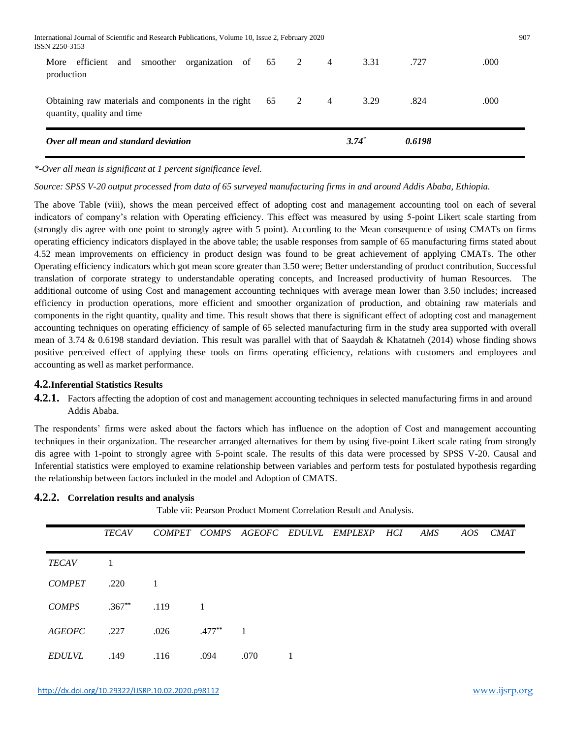|      | Over all mean and standard deviation |     |          |                                                                                                  |    |   |                | $3.74*$ | 0.6198 |      |
|------|--------------------------------------|-----|----------|--------------------------------------------------------------------------------------------------|----|---|----------------|---------|--------|------|
|      | quantity, quality and time           |     |          | Obtaining raw materials and components in the right                                              | 65 | 2 | $\overline{4}$ | 3.29    | .824   | .000 |
| More | efficient<br>production              | and | smoother | organization of                                                                                  | 65 | 2 | $\overline{4}$ | 3.31    | .727   | .000 |
|      | ISSN 2250-3153                       |     |          | International Journal of Scientific and Research Publications, Volume 10, Issue 2, February 2020 |    |   |                |         |        | 907  |

*\*-Over all mean is significant at 1 percent significance level.* 

*Source: SPSS V-20 output processed from data of 65 surveyed manufacturing firms in and around Addis Ababa, Ethiopia.*

The above Table (viii), shows the mean perceived effect of adopting cost and management accounting tool on each of several indicators of company's relation with Operating efficiency. This effect was measured by using 5-point Likert scale starting from (strongly dis agree with one point to strongly agree with 5 point). According to the Mean consequence of using CMATs on firms operating efficiency indicators displayed in the above table; the usable responses from sample of 65 manufacturing firms stated about 4.52 mean improvements on efficiency in product design was found to be great achievement of applying CMATs. The other Operating efficiency indicators which got mean score greater than 3.50 were; Better understanding of product contribution, Successful translation of corporate strategy to understandable operating concepts, and Increased productivity of human Resources. The additional outcome of using Cost and management accounting techniques with average mean lower than 3.50 includes; increased efficiency in production operations, more efficient and smoother organization of production, and obtaining raw materials and components in the right quantity, quality and time. This result shows that there is significant effect of adopting cost and management accounting techniques on operating efficiency of sample of 65 selected manufacturing firm in the study area supported with overall mean of 3.74  $\&$  0.6198 standard deviation. This result was parallel with that of Saaydah  $\&$  Khatatneh (2014) whose finding shows positive perceived effect of applying these tools on firms operating efficiency, relations with customers and employees and accounting as well as market performance.

#### **4.2.Inferential Statistics Results**

**4.2.1.** Factors affecting the adoption of cost and management accounting techniques in selected manufacturing firms in and around Addis Ababa.

The respondents' firms were asked about the factors which has influence on the adoption of Cost and management accounting techniques in their organization. The researcher arranged alternatives for them by using five-point Likert scale rating from strongly dis agree with 1-point to strongly agree with 5-point scale. The results of this data were processed by SPSS V-20. Causal and Inferential statistics were employed to examine relationship between variables and perform tests for postulated hypothesis regarding the relationship between factors included in the model and Adoption of CMATS.

#### **4.2.2. Correlation results and analysis**

Table vii: Pearson Product Moment Correlation Result and Analysis.

|               | <b>TECAV</b> |               |                |      | COMPET COMPS AGEOFC EDULVL EMPLEXP HCI | AMS | AOS | CMAT |
|---------------|--------------|---------------|----------------|------|----------------------------------------|-----|-----|------|
| <b>TECAV</b>  | 1            |               |                |      |                                        |     |     |      |
| <b>COMPET</b> | .220         | $\frac{1}{2}$ |                |      |                                        |     |     |      |
| <b>COMPS</b>  | $.367**$     | .119          | $\overline{1}$ |      |                                        |     |     |      |
| <b>AGEOFC</b> | .227         | .026          | $.477***$ 1    |      |                                        |     |     |      |
| <b>EDULVL</b> | .149         | .116          | .094           | .070 |                                        |     |     |      |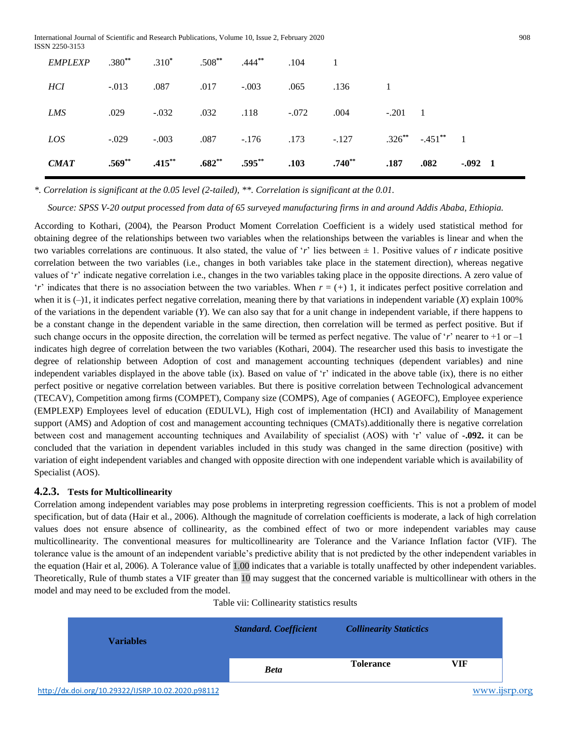| $EMPLEXP$ $.380^{**}$ $.310^{*}$ $.508^{**}$ $.444^{**}$ $.104$ 1 |         |                             |                      |      |                                                                    |             |                            |                  |
|-------------------------------------------------------------------|---------|-----------------------------|----------------------|------|--------------------------------------------------------------------|-------------|----------------------------|------------------|
| HCI                                                               |         | $-0.013$ .087 .017 $-0.003$ |                      | .065 | $.136$ 1                                                           |             |                            |                  |
| LMS                                                               | .029    | $-0.032$                    | .032 .118 -.072 .004 |      |                                                                    | $-.201 \t1$ |                            |                  |
| LOS                                                               | $-.029$ |                             |                      |      | $-0.003$ $0.087$ $-0.176$ $0.173$ $-0.127$                         |             | $.326^{**}$ $-.451^{**}$ 1 |                  |
| CMAT                                                              |         |                             |                      |      | $.569^{**}$ $.415^{**}$ $.682^{**}$ $.595^{**}$ $.103$ $.740^{**}$ | .187        | .082                       | $-0.092 \quad 1$ |

*\*. Correlation is significant at the 0.05 level (2-tailed), \*\*. Correlation is significant at the 0.01.*

*Source: SPSS V-20 output processed from data of 65 surveyed manufacturing firms in and around Addis Ababa, Ethiopia.*

According to Kothari*,* (2004), the Pearson Product Moment Correlation Coefficient is a widely used statistical method for obtaining degree of the relationships between two variables when the relationships between the variables is linear and when the two variables correlations are continuous. It also stated, the value of '*r*' lies between ± 1. Positive values of *r* indicate positive correlation between the two variables (i.e., changes in both variables take place in the statement direction), whereas negative values of '*r*' indicate negative correlation i.e., changes in the two variables taking place in the opposite directions. A zero value of '*r*' indicates that there is no association between the two variables. When *r* = (*+*) 1, it indicates perfect positive correlation and when it is  $(-)1$ , it indicates perfect negative correlation, meaning there by that variations in independent variable  $(X)$  explain 100% of the variations in the dependent variable (*Y*). We can also say that for a unit change in independent variable, if there happens to be a constant change in the dependent variable in the same direction, then correlation will be termed as perfect positive. But if such change occurs in the opposite direction, the correlation will be termed as perfect negative. The value of '*r*' nearer to  $+1$  or  $-1$ indicates high degree of correlation between the two variables (Kothari, 2004). The researcher used this basis to investigate the degree of relationship between Adoption of cost and management accounting techniques (dependent variables) and nine independent variables displayed in the above table (ix). Based on value of 'r' indicated in the above table (ix), there is no either perfect positive or negative correlation between variables. But there is positive correlation between Technological advancement (TECAV), Competition among firms (COMPET), Company size (COMPS), Age of companies ( AGEOFC), Employee experience (EMPLEXP) Employees level of education (EDULVL), High cost of implementation (HCI) and Availability of Management support (AMS) and Adoption of cost and management accounting techniques (CMATs).additionally there is negative correlation between cost and management accounting techniques and Availability of specialist (AOS) with 'r' value of **-.092.** it can be concluded that the variation in dependent variables included in this study was changed in the same direction (positive) with variation of eight independent variables and changed with opposite direction with one independent variable which is availability of Specialist (AOS).

#### **4.2.3. Tests for Multicollinearity**

Correlation among independent variables may pose problems in interpreting regression coefficients. This is not a problem of model specification, but of data (Hair et al., 2006). Although the magnitude of correlation coefficients is moderate, a lack of high correlation values does not ensure absence of collinearity, as the combined effect of two or more independent variables may cause multicollinearity. The conventional measures for multicollinearity are Tolerance and the Variance Inflation factor (VIF). The tolerance value is the amount of an independent variable's predictive ability that is not predicted by the other independent variables in the equation (Hair et al, 2006). A Tolerance value of 1.00 indicates that a variable is totally unaffected by other independent variables. Theoretically, Rule of thumb states a VIF greater than 10 may suggest that the concerned variable is multicollinear with others in the model and may need to be excluded from the model.

| <b>Variables</b> | $\cdot$<br><b>Standard. Coefficient</b> | <b>Collinearity Statictics</b> |     |
|------------------|-----------------------------------------|--------------------------------|-----|
|                  | <b>Beta</b>                             | <b>Tolerance</b>               | VIF |

Table vii: Collinearity statistics results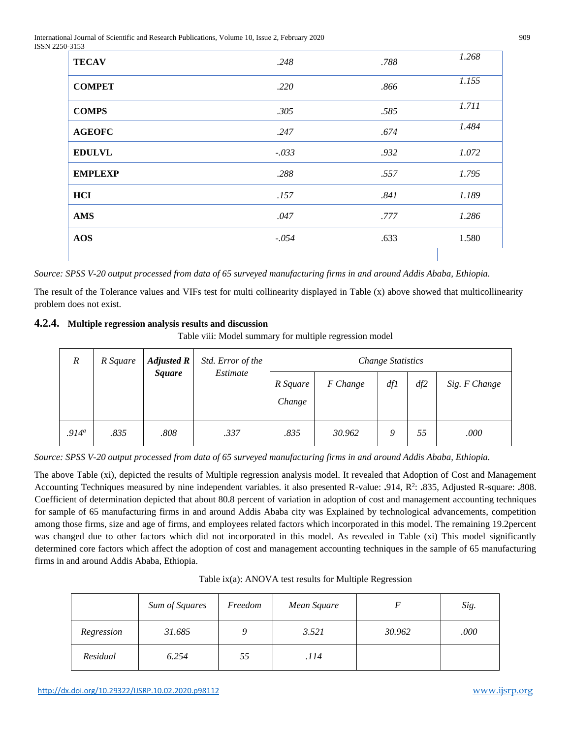International Journal of Scientific and Research Publications, Volume 10, Issue 2, February 2020 909 ISSN 2250-3153

| .              |         |      |       |
|----------------|---------|------|-------|
| <b>TECAV</b>   | .248    | .788 | 1.268 |
| <b>COMPET</b>  | .220    | .866 | 1.155 |
| <b>COMPS</b>   | .305    | .585 | 1.711 |
| <b>AGEOFC</b>  | .247    | .674 | 1.484 |
| <b>EDULVL</b>  | $-.033$ | .932 | 1.072 |
| <b>EMPLEXP</b> | .288    | .557 | 1.795 |
| HCI            | .157    | .841 | 1.189 |
| <b>AMS</b>     | .047    | .777 | 1.286 |
| <b>AOS</b>     | $-.054$ | .633 | 1.580 |
|                |         |      |       |

*Source: SPSS V-20 output processed from data of 65 surveyed manufacturing firms in and around Addis Ababa, Ethiopia.* 

The result of the Tolerance values and VIFs test for multi collinearity displayed in Table (x) above showed that multicollinearity problem does not exist.

# **4.2.4. Multiple regression analysis results and discussion**

Table viii: Model summary for multiple regression model

| $\boldsymbol{R}$  | R Square | <b>Adjusted R</b><br><i>Square</i> | Std. Error of the<br>Estimate | <b>Change Statistics</b> |          |     |     |               |
|-------------------|----------|------------------------------------|-------------------------------|--------------------------|----------|-----|-----|---------------|
|                   |          |                                    |                               | R Square<br>Change       | F Change | df1 | df2 | Sig. F Change |
| .914 <sup>a</sup> | .835     | .808                               | .337                          | .835                     | 30.962   | 9   | 55  | .000          |

*Source: SPSS V-20 output processed from data of 65 surveyed manufacturing firms in and around Addis Ababa, Ethiopia.* 

The above Table (xi), depicted the results of Multiple regression analysis model. It revealed that Adoption of Cost and Management Accounting Techniques measured by nine independent variables. it also presented R-value: **.**914, R<sup>2</sup> : **.**835, Adjusted R-square: **.**808. Coefficient of determination depicted that about 80.8 percent of variation in adoption of cost and management accounting techniques for sample of 65 manufacturing firms in and around Addis Ababa city was Explained by technological advancements, competition among those firms, size and age of firms, and employees related factors which incorporated in this model. The remaining 19.2percent was changed due to other factors which did not incorporated in this model. As revealed in Table (xi) This model significantly determined core factors which affect the adoption of cost and management accounting techniques in the sample of 65 manufacturing firms in and around Addis Ababa, Ethiopia.

|            | Sum of Squares | Freedom | Mean Square |        | Sig. |
|------------|----------------|---------|-------------|--------|------|
| Regression | 31.685         | 9       | 3.521       | 30.962 | .000 |
| Residual   | 6.254          | 55      | .114        |        |      |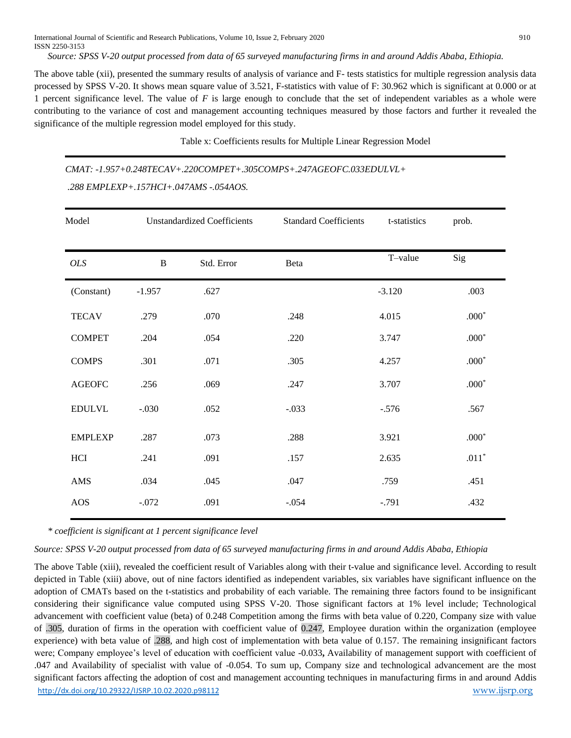International Journal of Scientific and Research Publications, Volume 10, Issue 2, February 2020 910 ISSN 2250-3153

*Source: SPSS V-20 output processed from data of 65 surveyed manufacturing firms in and around Addis Ababa, Ethiopia.* 

The above table (xii), presented the summary results of analysis of variance and F- tests statistics for multiple regression analysis data processed by SPSS V-20. It shows mean square value of 3.521, F-statistics with value of F: 30.962 which is significant at 0.000 or at 1 percent significance level. The value of *F* is large enough to conclude that the set of independent variables as a whole were contributing to the variance of cost and management accounting techniques measured by those factors and further it revealed the significance of the multiple regression model employed for this study.

Table x: Coefficients results for Multiple Linear Regression Model

*CMAT: -1.957+0.248TECAV+.220COMPET+.305COMPS+.247AGEOFC.033EDULVL+ .288 EMPLEXP+.157HCI+.047AMS -.054AOS.* 

| Model          | <b>Unstandardized Coefficients</b> |            | <b>Standard Coefficients</b> | t-statistics | prob.   |
|----------------|------------------------------------|------------|------------------------------|--------------|---------|
| $\mathit{OLS}$ | $\bf{B}$                           | Std. Error | Beta                         | T-value      | Sig     |
| (Constant)     | $-1.957$                           | .627       |                              | $-3.120$     | .003    |
| <b>TECAV</b>   | .279                               | .070       | .248                         | 4.015        | $.000*$ |
| <b>COMPET</b>  | .204                               | .054       | .220                         | 3.747        | $.000*$ |
| <b>COMPS</b>   | .301                               | .071       | .305                         | 4.257        | $.000*$ |
| <b>AGEOFC</b>  | .256                               | .069       | .247                         | 3.707        | $.000*$ |
| <b>EDULVL</b>  | $-.030$                            | .052       | $-.033$                      | $-.576$      | .567    |
| <b>EMPLEXP</b> | .287                               | .073       | .288                         | 3.921        | $.000*$ |
| HCI            | .241                               | .091       | .157                         | 2.635        | $.011*$ |
| AMS            | .034                               | .045       | .047                         | .759         | .451    |
| <b>AOS</b>     | $-.072$                            | .091       | $-.054$                      | $-.791$      | .432    |

*\* coefficient is significant at 1 percent significance level* 

*Source: SPSS V-20 output processed from data of 65 surveyed manufacturing firms in and around Addis Ababa, Ethiopia* 

<http://dx.doi.org/10.29322/IJSRP.10.02.2020.p98112> [www.ijsrp.org](http://ijsrp.org/) The above Table (xiii), revealed the coefficient result of Variables along with their t-value and significance level. According to result depicted in Table (xiii) above, out of nine factors identified as independent variables, six variables have significant influence on the adoption of CMATs based on the t-statistics and probability of each variable. The remaining three factors found to be insignificant considering their significance value computed using SPSS V-20. Those significant factors at 1% level include; Technological advancement with coefficient value (beta) of 0.248 Competition among the firms with beta value of 0.220, Company size with value of .305, duration of firms in the operation with coefficient value of 0.247, Employee duration within the organization (employee experience) with beta value of .288, and high cost of implementation with beta value of 0.157. The remaining insignificant factors were; Company employee's level of education with coefficient value -0.033**,** Availability of management support with coefficient of .047 and Availability of specialist with value of -0.054. To sum up, Company size and technological advancement are the most significant factors affecting the adoption of cost and management accounting techniques in manufacturing firms in and around Addis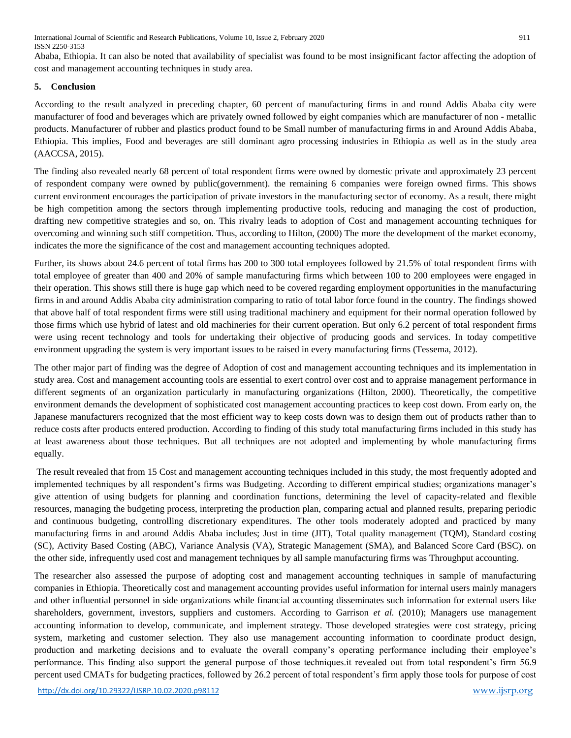International Journal of Scientific and Research Publications, Volume 10, Issue 2, February 2020 911 ISSN 2250-3153

Ababa, Ethiopia. It can also be noted that availability of specialist was found to be most insignificant factor affecting the adoption of cost and management accounting techniques in study area.

#### **5. Conclusion**

According to the result analyzed in preceding chapter, 60 percent of manufacturing firms in and round Addis Ababa city were manufacturer of food and beverages which are privately owned followed by eight companies which are manufacturer of non - metallic products. Manufacturer of rubber and plastics product found to be Small number of manufacturing firms in and Around Addis Ababa, Ethiopia. This implies, Food and beverages are still dominant agro processing industries in Ethiopia as well as in the study area (AACCSA, 2015).

The finding also revealed nearly 68 percent of total respondent firms were owned by domestic private and approximately 23 percent of respondent company were owned by public(government). the remaining 6 companies were foreign owned firms. This shows current environment encourages the participation of private investors in the manufacturing sector of economy. As a result, there might be high competition among the sectors through implementing productive tools, reducing and managing the cost of production, drafting new competitive strategies and so, on. This rivalry leads to adoption of Cost and management accounting techniques for overcoming and winning such stiff competition. Thus, according to Hilton, (2000) The more the development of the market economy, indicates the more the significance of the cost and management accounting techniques adopted.

Further, its shows about 24.6 percent of total firms has 200 to 300 total employees followed by 21.5% of total respondent firms with total employee of greater than 400 and 20% of sample manufacturing firms which between 100 to 200 employees were engaged in their operation. This shows still there is huge gap which need to be covered regarding employment opportunities in the manufacturing firms in and around Addis Ababa city administration comparing to ratio of total labor force found in the country. The findings showed that above half of total respondent firms were still using traditional machinery and equipment for their normal operation followed by those firms which use hybrid of latest and old machineries for their current operation. But only 6.2 percent of total respondent firms were using recent technology and tools for undertaking their objective of producing goods and services. In today competitive environment upgrading the system is very important issues to be raised in every manufacturing firms (Tessema, 2012).

The other major part of finding was the degree of Adoption of cost and management accounting techniques and its implementation in study area. Cost and management accounting tools are essential to exert control over cost and to appraise management performance in different segments of an organization particularly in manufacturing organizations (Hilton, 2000). Theoretically, the competitive environment demands the development of sophisticated cost management accounting practices to keep cost down. From early on, the Japanese manufacturers recognized that the most efficient way to keep costs down was to design them out of products rather than to reduce costs after products entered production. According to finding of this study total manufacturing firms included in this study has at least awareness about those techniques. But all techniques are not adopted and implementing by whole manufacturing firms equally.

The result revealed that from 15 Cost and management accounting techniques included in this study, the most frequently adopted and implemented techniques by all respondent's firms was Budgeting. According to different empirical studies; organizations manager's give attention of using budgets for planning and coordination functions, determining the level of capacity-related and flexible resources, managing the budgeting process, interpreting the production plan, comparing actual and planned results, preparing periodic and continuous budgeting, controlling discretionary expenditures. The other tools moderately adopted and practiced by many manufacturing firms in and around Addis Ababa includes; Just in time (JIT), Total quality management (TQM), Standard costing (SC), Activity Based Costing (ABC), Variance Analysis (VA), Strategic Management (SMA), and Balanced Score Card (BSC). on the other side, infrequently used cost and management techniques by all sample manufacturing firms was Throughput accounting.

The researcher also assessed the purpose of adopting cost and management accounting techniques in sample of manufacturing companies in Ethiopia. Theoretically cost and management accounting provides useful information for internal users mainly managers and other influential personnel in side organizations while financial accounting disseminates such information for external users like shareholders, government, investors, suppliers and customers. According to Garrison *et al.* (2010); Managers use management accounting information to develop, communicate, and implement strategy. Those developed strategies were cost strategy, pricing system, marketing and customer selection. They also use management accounting information to coordinate product design, production and marketing decisions and to evaluate the overall company's operating performance including their employee's performance. This finding also support the general purpose of those techniques.it revealed out from total respondent's firm 56.9 percent used CMATs for budgeting practices, followed by 26.2 percent of total respondent's firm apply those tools for purpose of cost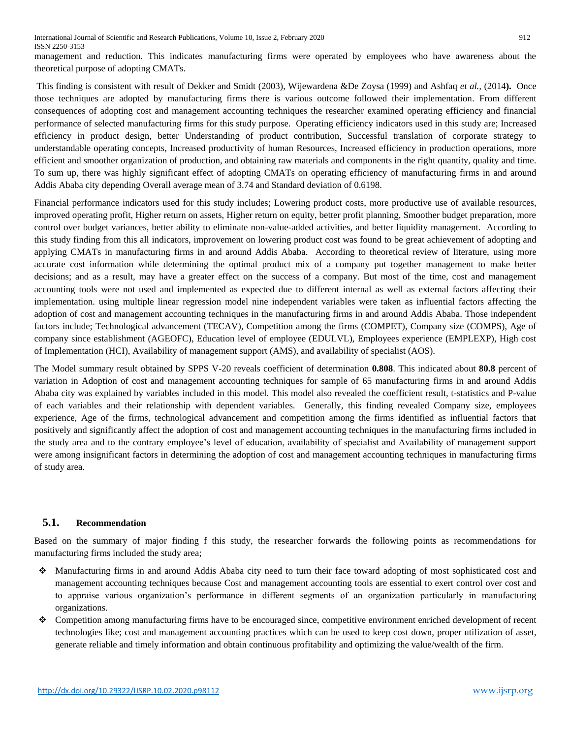management and reduction. This indicates manufacturing firms were operated by employees who have awareness about the theoretical purpose of adopting CMATs.

This finding is consistent with result of Dekker and Smidt (2003), Wijewardena &De Zoysa (1999) and Ashfaq *et al.,* (2014**).** Once those techniques are adopted by manufacturing firms there is various outcome followed their implementation. From different consequences of adopting cost and management accounting techniques the researcher examined operating efficiency and financial performance of selected manufacturing firms for this study purpose. Operating efficiency indicators used in this study are; Increased efficiency in product design, better Understanding of product contribution, Successful translation of corporate strategy to understandable operating concepts, Increased productivity of human Resources, Increased efficiency in production operations, more efficient and smoother organization of production, and obtaining raw materials and components in the right quantity, quality and time. To sum up, there was highly significant effect of adopting CMATs on operating efficiency of manufacturing firms in and around Addis Ababa city depending Overall average mean of 3.74 and Standard deviation of 0.6198.

Financial performance indicators used for this study includes; Lowering product costs, more productive use of available resources, improved operating profit, Higher return on assets, Higher return on equity, better profit planning, Smoother budget preparation, more control over budget variances, better ability to eliminate non-value-added activities, and better liquidity management. According to this study finding from this all indicators, improvement on lowering product cost was found to be great achievement of adopting and applying CMATs in manufacturing firms in and around Addis Ababa. According to theoretical review of literature, using more accurate cost information while determining the optimal product mix of a company put together management to make better decisions; and as a result, may have a greater effect on the success of a company. But most of the time, cost and management accounting tools were not used and implemented as expected due to different internal as well as external factors affecting their implementation. using multiple linear regression model nine independent variables were taken as influential factors affecting the adoption of cost and management accounting techniques in the manufacturing firms in and around Addis Ababa. Those independent factors include; Technological advancement (TECAV), Competition among the firms (COMPET), Company size (COMPS), Age of company since establishment (AGEOFC), Education level of employee (EDULVL), Employees experience (EMPLEXP), High cost of Implementation (HCI), Availability of management support (AMS), and availability of specialist (AOS).

The Model summary result obtained by SPPS V-20 reveals coefficient of determination **0.808**. This indicated about **80.8** percent of variation in Adoption of cost and management accounting techniques for sample of 65 manufacturing firms in and around Addis Ababa city was explained by variables included in this model. This model also revealed the coefficient result, t-statistics and P-value of each variables and their relationship with dependent variables. Generally, this finding revealed Company size, employees experience, Age of the firms, technological advancement and competition among the firms identified as influential factors that positively and significantly affect the adoption of cost and management accounting techniques in the manufacturing firms included in the study area and to the contrary employee's level of education, availability of specialist and Availability of management support were among insignificant factors in determining the adoption of cost and management accounting techniques in manufacturing firms of study area.

# **5.1. Recommendation**

Based on the summary of major finding f this study, the researcher forwards the following points as recommendations for manufacturing firms included the study area;

- Manufacturing firms in and around Addis Ababa city need to turn their face toward adopting of most sophisticated cost and management accounting techniques because Cost and management accounting tools are essential to exert control over cost and to appraise various organization's performance in different segments of an organization particularly in manufacturing organizations.
- Competition among manufacturing firms have to be encouraged since, competitive environment enriched development of recent technologies like; cost and management accounting practices which can be used to keep cost down, proper utilization of asset, generate reliable and timely information and obtain continuous profitability and optimizing the value/wealth of the firm.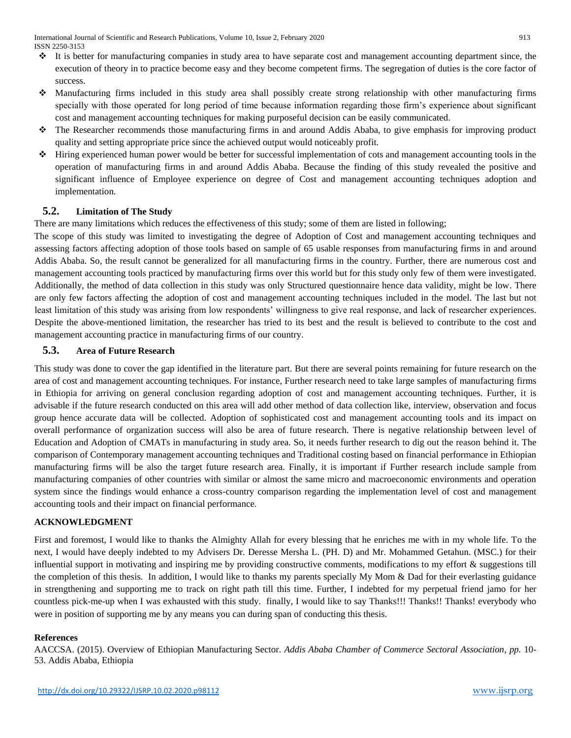- $\cdot \cdot$  It is better for manufacturing companies in study area to have separate cost and management accounting department since, the execution of theory in to practice become easy and they become competent firms. The segregation of duties is the core factor of success.
- Manufacturing firms included in this study area shall possibly create strong relationship with other manufacturing firms specially with those operated for long period of time because information regarding those firm's experience about significant cost and management accounting techniques for making purposeful decision can be easily communicated.
- The Researcher recommends those manufacturing firms in and around Addis Ababa, to give emphasis for improving product quality and setting appropriate price since the achieved output would noticeably profit.
- $\cdot$  Hiring experienced human power would be better for successful implementation of cots and management accounting tools in the operation of manufacturing firms in and around Addis Ababa. Because the finding of this study revealed the positive and significant influence of Employee experience on degree of Cost and management accounting techniques adoption and implementation.

## **5.2. Limitation of The Study**

There are many limitations which reduces the effectiveness of this study; some of them are listed in following;

The scope of this study was limited to investigating the degree of Adoption of Cost and management accounting techniques and assessing factors affecting adoption of those tools based on sample of 65 usable responses from manufacturing firms in and around Addis Ababa. So, the result cannot be generalized for all manufacturing firms in the country. Further, there are numerous cost and management accounting tools practiced by manufacturing firms over this world but for this study only few of them were investigated. Additionally, the method of data collection in this study was only Structured questionnaire hence data validity, might be low. There are only few factors affecting the adoption of cost and management accounting techniques included in the model. The last but not least limitation of this study was arising from low respondents' willingness to give real response, and lack of researcher experiences. Despite the above-mentioned limitation, the researcher has tried to its best and the result is believed to contribute to the cost and management accounting practice in manufacturing firms of our country.

## **5.3. Area of Future Research**

This study was done to cover the gap identified in the literature part. But there are several points remaining for future research on the area of cost and management accounting techniques. For instance, Further research need to take large samples of manufacturing firms in Ethiopia for arriving on general conclusion regarding adoption of cost and management accounting techniques. Further, it is advisable if the future research conducted on this area will add other method of data collection like, interview, observation and focus group hence accurate data will be collected. Adoption of sophisticated cost and management accounting tools and its impact on overall performance of organization success will also be area of future research. There is negative relationship between level of Education and Adoption of CMATs in manufacturing in study area. So, it needs further research to dig out the reason behind it. The comparison of Contemporary management accounting techniques and Traditional costing based on financial performance in Ethiopian manufacturing firms will be also the target future research area. Finally, it is important if Further research include sample from manufacturing companies of other countries with similar or almost the same micro and macroeconomic environments and operation system since the findings would enhance a cross-country comparison regarding the implementation level of cost and management accounting tools and their impact on financial performance.

# **ACKNOWLEDGMENT**

First and foremost, I would like to thanks the Almighty Allah for every blessing that he enriches me with in my whole life. To the next, I would have deeply indebted to my Advisers Dr. Deresse Mersha L. (PH. D) and Mr. Mohammed Getahun. (MSC.) for their influential support in motivating and inspiring me by providing constructive comments, modifications to my effort & suggestions till the completion of this thesis. In addition, I would like to thanks my parents specially My Mom & Dad for their everlasting guidance in strengthening and supporting me to track on right path till this time. Further, I indebted for my perpetual friend jamo for her countless pick-me-up when I was exhausted with this study. finally, I would like to say Thanks!!! Thanks!! Thanks! everybody who were in position of supporting me by any means you can during span of conducting this thesis.

#### **References**

AACCSA. (2015). Overview of Ethiopian Manufacturing Sector. *Addis Ababa Chamber of Commerce Sectoral Association*, *pp.* 10- 53. Addis Ababa, Ethiopia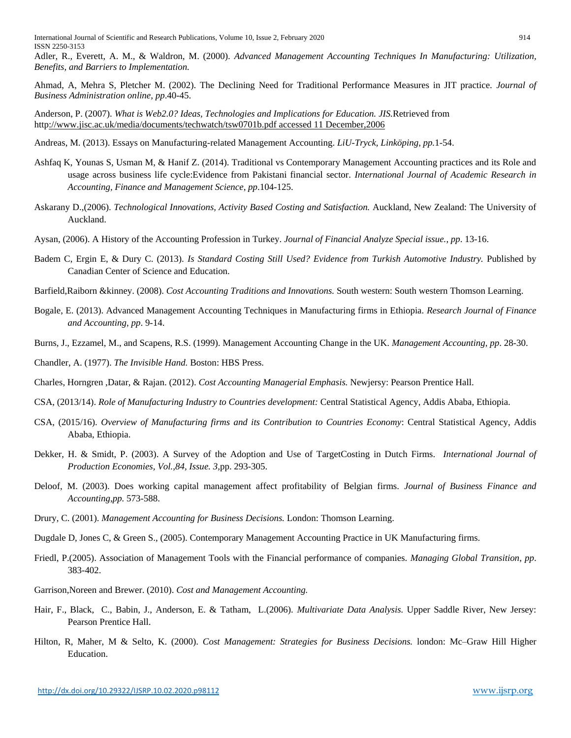Adler, R., Everett, A. M., & Waldron, M. (2000). *Advanced Management Accounting Techniques In Manufacturing: Utilization, Benefits, and Barriers to Implementation.*

Ahmad, A, Mehra S, Pletcher M. (2002). The Declining Need for Traditional Performance Measures in JIT practice. *Journal of Business Administration online, pp*.40-45.

Anderson, P. (2007). *What is Web2.0? Ideas, Technologies and Implications for Education. JIS.*Retrieved from [http://www.jisc.ac.uk/media/documents/techwatch/tsw0701b.pdf accessed 11 December,2006](http://www.jisc.ac.uk/media/documents/techwatch/tsw0701b.pdf%20accessed%2011%20December,2006)

Andreas, M. (2013). Essays on Manufacturing-related Management Accounting. *LiU-Tryck, Linköping*, *pp.*1-54.

- Ashfaq K, Younas S, Usman M, & Hanif Z. (2014). Traditional vs Contemporary Management Accounting practices and its Role and usage across business life cycle:Evidence from Pakistani financial sector. *International Journal of Academic Research in Accounting, Finance and Management Science*, *pp*.104-125.
- Askarany D.,(2006). *Technological Innovations, Activity Based Costing and Satisfaction.* Auckland, New Zealand: The University of Auckland.
- Aysan, (2006). A History of the Accounting Profession in Turkey. *Journal of Financial Analyze Special issue.*, *pp*. 13-16.
- Badem C, Ergin E, & Dury C. (2013). *Is Standard Costing Still Used? Evidence from Turkish Automotive Industry.* Published by Canadian Center of Science and Education.
- Barfield,Raiborn &kinney. (2008). *Cost Accounting Traditions and Innovations.* South western: South western Thomson Learning.
- Bogale, E. (2013). Advanced Management Accounting Techniques in Manufacturing firms in Ethiopia. *Research Journal of Finance and Accounting*, *pp*. 9-14.
- Burns, J., Ezzamel, M., and Scapens, R.S. (1999). Management Accounting Change in the UK. *Management Accounting*, *pp*. 28-30.

Chandler, A. (1977). *The Invisible Hand.* Boston: HBS Press.

Charles, Horngren ,Datar, & Rajan. (2012). *Cost Accounting Managerial Emphasis.* Newjersy: Pearson Prentice Hall.

CSA, (2013/14). *Role of Manufacturing Industry to Countries development:* Central Statistical Agency, Addis Ababa, Ethiopia.

- CSA, (2015/16). *Overview of Manufacturing firms and its Contribution to Countries Economy*: Central Statistical Agency, Addis Ababa, Ethiopia.
- Dekker, H. & Smidt, P. (2003). A Survey of the Adoption and Use of TargetCosting in Dutch Firms. *International Journal of Production Economies, Vol.,84, Issue. 3,*pp. 293-305.
- Deloof, M. (2003). Does working capital management affect profitability of Belgian firms. *Journal of Business Finance and Accounting*,*pp.* 573-588.
- Drury, C. (2001). *Management Accounting for Business Decisions.* London: Thomson Learning.
- Dugdale D, Jones C, & Green S., (2005). Contemporary Management Accounting Practice in UK Manufacturing firms.
- Friedl, P.(2005). Association of Management Tools with the Financial performance of companies. *Managing Global Transition*, *pp*. 383-402.
- Garrison,Noreen and Brewer. (2010). *Cost and Management Accounting.*
- Hair, F., Black, C., Babin, J., Anderson, E. & Tatham, L.(2006). *Multivariate Data Analysis.* Upper Saddle River, New Jersey: Pearson Prentice Hall.
- Hilton, R, Maher, M & Selto, K. (2000). *Cost Management: Strategies for Business Decisions.* london: Mc–Graw Hill Higher Education.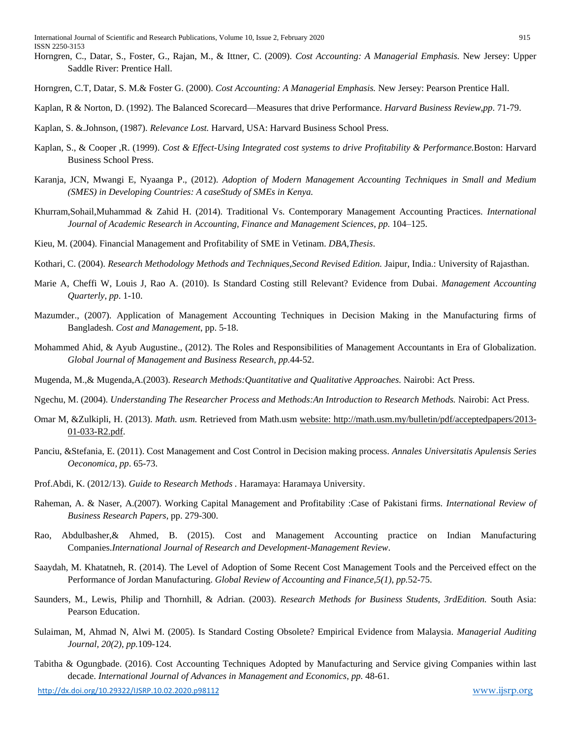- Horngren, C., Datar, S., Foster, G., Rajan, M., & Ittner, C. (2009). *Cost Accounting: A Managerial Emphasis.* New Jersey: Upper Saddle River: Prentice Hall.
- Horngren, C.T, Datar, S. M.& Foster G. (2000). *Cost Accounting: A Managerial Emphasis.* New Jersey: Pearson Prentice Hall.
- Kaplan, R & Norton, D. (1992). The Balanced Scorecard—Measures that drive Performance. *Harvard Business Review*,*pp*. 71-79.
- Kaplan, S. &.Johnson, (1987). *Relevance Lost.* Harvard, USA: Harvard Business School Press.
- Kaplan, S., & Cooper ,R. (1999). *Cost & Effect-Using Integrated cost systems to drive Profitability & Performance.*Boston: Harvard Business School Press.
- Karanja, JCN, Mwangi E, Nyaanga P., (2012). *Adoption of Modern Management Accounting Techniques in Small and Medium (SMES) in Developing Countries: A caseStudy of SMEs in Kenya.*
- Khurram,Sohail,Muhammad & Zahid H. (2014). Traditional Vs. Contemporary Management Accounting Practices. *International Journal of Academic Research in Accounting, Finance and Management Sciences*, *pp.* 104–125.
- Kieu, M. (2004). Financial Management and Profitability of SME in Vetinam. *DBA,Thesis*.
- Kothari, C. (2004). *Research Methodology Methods and Techniques,Second Revised Edition.* Jaipur, India.: University of Rajasthan.
- Marie A, Cheffi W, Louis J, Rao A. (2010). Is Standard Costing still Relevant? Evidence from Dubai. *Management Accounting Quarterly*, *pp*. 1-10.
- Mazumder., (2007). Application of Management Accounting Techniques in Decision Making in the Manufacturing firms of Bangladesh. *Cost and Management*, pp. 5-18.
- Mohammed Ahid, & Ayub Augustine., (2012). The Roles and Responsibilities of Management Accountants in Era of Globalization. *Global Journal of Management and Business Research*, *pp.*44-52.
- Mugenda, M.,& Mugenda,A.(2003). *Research Methods:Quantitative and Qualitative Approaches.* Nairobi: Act Press.
- Ngechu, M. (2004). *Understanding The Researcher Process and Methods:An Introduction to Research Methods.* Nairobi: Act Press.
- Omar M, &Zulkipli, H. (2013). *Math. usm.* Retrieved from Math.usm [website: http://math.usm.my/bulletin/pdf/acceptedpapers/2013-](website:%20http://math.usm.my/bulletin/pdf/acceptedpapers/2013-01-033-R2.pdf) [01-033-R2.pdf.](website:%20http://math.usm.my/bulletin/pdf/acceptedpapers/2013-01-033-R2.pdf)
- Panciu, &Stefania, E. (2011). Cost Management and Cost Control in Decision making process. *Annales Universitatis Apulensis Series Oeconomica*, *pp*. 65-73.
- Prof.Abdi, K. (2012/13). *Guide to Research Methods .* Haramaya: Haramaya University.
- Raheman, A. & Naser, A.(2007). Working Capital Management and Profitability :Case of Pakistani firms. *International Review of Business Research Papers*, pp. 279-300.
- Rao, Abdulbasher,& Ahmed, B. (2015). Cost and Management Accounting practice on Indian Manufacturing Companies.*International Journal of Research and Development-Management Review*.
- Saaydah, M. Khatatneh, R. (2014). The Level of Adoption of Some Recent Cost Management Tools and the Perceived effect on the Performance of Jordan Manufacturing. *Global Review of Accounting and Finance,5(1)*, *pp.*52-75.
- Saunders, M., Lewis, Philip and Thornhill, & Adrian. (2003). *Research Methods for Business Students, 3rdEdition.* South Asia: Pearson Education.
- Sulaiman, M, Ahmad N, Alwi M. (2005). Is Standard Costing Obsolete? Empirical Evidence from Malaysia. *Managerial Auditing Journal, 20(2)*, *pp.*109-124.
- Tabitha & Ogungbade. (2016). Cost Accounting Techniques Adopted by Manufacturing and Service giving Companies within last decade. *International Journal of Advances in Management and Economics*, *pp.* 48-61.